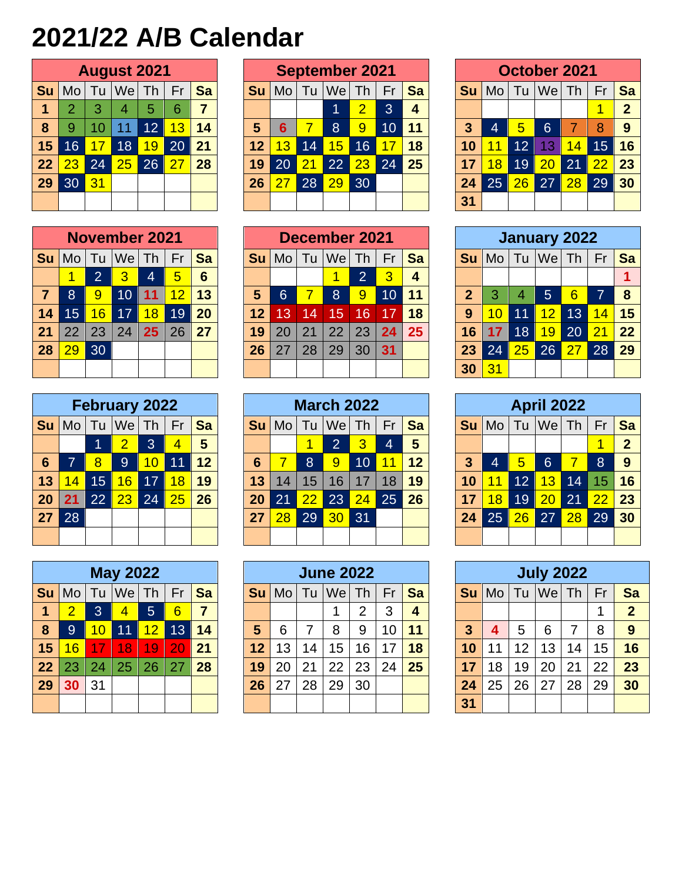## **2021/22 A/B Calendar**

|    | <b>August 2021</b> |    |                       |    |    |    |  |  |  |  |  |  |  |  |
|----|--------------------|----|-----------------------|----|----|----|--|--|--|--|--|--|--|--|
| Su | Mo l               |    | Tu $ \mathsf{We} $ Th |    | Fr | Sa |  |  |  |  |  |  |  |  |
| 1  | $\overline{2}$     | 3  | 4                     | 5  | 6  | 7  |  |  |  |  |  |  |  |  |
| 8  | 9                  | 10 | 11                    | 12 | 13 | 14 |  |  |  |  |  |  |  |  |
| 15 | 16                 | 17 | 18                    | 19 | 20 | 21 |  |  |  |  |  |  |  |  |
| 22 | 23                 | 24 | 25                    | 26 | 27 | 28 |  |  |  |  |  |  |  |  |
| 29 | 30                 | 31 |                       |    |    |    |  |  |  |  |  |  |  |  |
|    |                    |    |                       |    |    |    |  |  |  |  |  |  |  |  |

|    | <b>November 2021</b> |                |                  |    |    |           |  |  |  |  |  |  |  |  |
|----|----------------------|----------------|------------------|----|----|-----------|--|--|--|--|--|--|--|--|
| Su |                      |                | Mo   Tu  We   Th |    | Fr | <b>Sa</b> |  |  |  |  |  |  |  |  |
|    |                      | $\overline{2}$ | $\overline{3}$   | 4  | 5  | 6         |  |  |  |  |  |  |  |  |
| 7  | 8                    | 9              | 10               | 11 | 12 | 13        |  |  |  |  |  |  |  |  |
| 14 | 15                   | 16             | 17               | 18 | 19 | 20        |  |  |  |  |  |  |  |  |
| 21 | 22                   | 23             | 24               | 25 | 26 | 27        |  |  |  |  |  |  |  |  |
| 28 | 29                   | 30             |                  |    |    |           |  |  |  |  |  |  |  |  |
|    |                      |                |                  |    |    |           |  |  |  |  |  |  |  |  |

|           | <b>February 2022</b> |                 |                   |    |    |           |  |  |  |  |  |  |  |  |
|-----------|----------------------|-----------------|-------------------|----|----|-----------|--|--|--|--|--|--|--|--|
| <b>Su</b> |                      |                 | Mo   Tu   We   Th |    | Fr | <b>Sa</b> |  |  |  |  |  |  |  |  |
|           |                      |                 | $\overline{2}$    | 3  | 4  | 5         |  |  |  |  |  |  |  |  |
| 6         | 7                    | 8               | 9                 | 10 | 11 | 12        |  |  |  |  |  |  |  |  |
| 13        | 14                   | 15 <sub>1</sub> | 16                | 17 | 18 | 19        |  |  |  |  |  |  |  |  |
| 20        | 21                   | 22              | 23                | 24 | 25 | 26        |  |  |  |  |  |  |  |  |
| 27        | 28                   |                 |                   |    |    |           |  |  |  |  |  |  |  |  |
|           |                      |                 |                   |    |    |           |  |  |  |  |  |  |  |  |

|           | <b>May 2022</b> |    |                |    |    |           |  |  |  |  |  |  |  |  |
|-----------|-----------------|----|----------------|----|----|-----------|--|--|--|--|--|--|--|--|
| <b>Su</b> | Mo              |    | Tu   We   Th   |    | Fr | <b>Sa</b> |  |  |  |  |  |  |  |  |
| 1         | $\overline{2}$  | 3  | $\overline{4}$ | 5  | 6  | 7         |  |  |  |  |  |  |  |  |
| 8         | 9               | 10 | 11             | 12 | 13 | 14        |  |  |  |  |  |  |  |  |
| 15        | 16              | 17 | 18             | 19 | 20 | 21        |  |  |  |  |  |  |  |  |
| 22        | 23              | 24 | 25             | 26 | 27 | 28        |  |  |  |  |  |  |  |  |
| 29        | 30              | 31 |                |    |    |           |  |  |  |  |  |  |  |  |
|           |                 |    |                |    |    |           |  |  |  |  |  |  |  |  |

|    |    |                 | <b>August 2021</b> |                 |                 |           |    |                |    | <b>September 2021</b> |                |    |           |    |                |                 | October 2021 |                 |                 |                |
|----|----|-----------------|--------------------|-----------------|-----------------|-----------|----|----------------|----|-----------------------|----------------|----|-----------|----|----------------|-----------------|--------------|-----------------|-----------------|----------------|
| Su | Mo | Tu              | Wel                | Th              | Fr              | <b>Sa</b> | Su | Mo             | Тu | We                    | Th             | Fr | <b>Sa</b> | Su | M <sub>O</sub> | Tu              | Wel          | Th <sub>l</sub> | Fr              | Sa             |
|    | っ  | 3               | 4                  | 5               | 6               | 7         |    |                |    |                       | 2              | 3  |           |    |                |                 |              |                 |                 | $\overline{2}$ |
| 8  | 9  |                 | 11                 | 12 <sup>2</sup> | $\overline{13}$ | 14        | 5  | 6              |    | 8                     | $\overline{9}$ | 10 | 11        | 3  | 4              | 5               | $6 \,$       |                 | 8               | 9              |
| 15 | 16 |                 | 18                 | 19              | 20              | 21        | 12 | 3              | 14 | 15                    | 16             |    | 18        | 10 |                | $\overline{12}$ | 13           | 14.             | 15              | 16             |
| 22 | 23 | $\overline{24}$ | 25                 | 26              |                 | 28        | 19 | 20             | 21 | $\overline{22}$       | 23             | 24 | 25        | 17 | 8              | 19              | 20           | 21              | $\overline{22}$ | 23             |
| 29 | 30 | 31              |                    |                 |                 |           | 26 | $\overline{2}$ | 28 | 29                    | 30             |    |           | 24 | 25             | 26              | 27           | 28              | 29              | 30             |
|    |    |                 |                    |                 |                 |           |    |                |    |                       |                |    |           | 31 |                |                 |              |                 |                 |                |

|    |     |     | <b>November 2021</b> |    |    |           |                 |    |           | December 2021         |                |                |                 |                |                 |    | January 2022 |                    |                 |    |
|----|-----|-----|----------------------|----|----|-----------|-----------------|----|-----------|-----------------------|----------------|----------------|-----------------|----------------|-----------------|----|--------------|--------------------|-----------------|----|
| Su | Mo. | l u | We                   | Th | Fr | <b>Sa</b> |                 | Mo | <u>lu</u> | We                    | Th             | Fr             | <b>Sa</b>       | Su             | Mo.             | Tu | We           | $.1$ Th $^{\circ}$ | Fr              | Sa |
|    |     | ာ   | $\overline{3}$       | 4  | 5  | 6         |                 |    |           |                       | $\overline{2}$ | $\overline{3}$ |                 |                |                 |    |              |                    |                 |    |
|    | 8   | 9   | 10                   |    |    | 13        | 5               | 6  |           | $\mathsf{8}^{\prime}$ | 9              | 10             | 11              | $\overline{2}$ |                 | 4  | 5            | 6                  | 7               | -8 |
| 14 | 15  | 16  | 17                   | 18 | 19 | 20        | 12 <sup>1</sup> | 13 | 14        | 15                    | 16             |                | 18              | 9              | 10 <sub>1</sub> | 11 | 12           | $\overline{1}3$    | 14.             | 15 |
| 21 | 22  | 23  | 24                   | 25 | 26 | 27        | 19              | 20 | 21        | 22                    | 23             | 24             | 25 <sub>2</sub> | 16             |                 | 18 | 19           | 20                 | $\overline{21}$ | 22 |
| 28 | 29  | 30  |                      |    |    |           | 26              | 27 | 28        | 29                    | 30             | 31             |                 | 23             | 24              | 25 | 26           | 27                 | 28              | 29 |
|    |     |     |                      |    |    |           |                 |    |           |                       |                |                |                 | 30             |                 |    |              |                    |                 |    |

|    |      |    | <b>February 2022</b> |                 |    |    |    |    |    | <b>March 2022</b> |    |    |           |           |    |    | <b>April 2022</b> |    |    |                |
|----|------|----|----------------------|-----------------|----|----|----|----|----|-------------------|----|----|-----------|-----------|----|----|-------------------|----|----|----------------|
| Su | Mo l | Tu | We                   | Th              | Fr | Sa |    | Mo | Tu | We                | Th | Fr | <b>Sa</b> | <b>Su</b> | Mo | Tu | We                | Th | Fr | Sa             |
|    |      |    |                      | 3               |    | 5  |    |    |    | $\overline{2}$    | 3  | 4  | 5         |           |    |    |                   |    |    | $\overline{2}$ |
| 6  | ⇁    | 8  | $\overline{9}$       | 10 <sub>1</sub> |    | 12 | 6  |    | 8  | 9                 | 10 | 11 | 12        | 3         | 4  | 5  | 6                 |    | 8  | -9             |
| 13 | 14.  | 15 | $6\overline{6}$      | 17              | 18 | 19 | 13 | 14 | 15 | 16                | 17 | 18 | 19        | 10        |    | 12 | 13                | 14 | 15 | 16             |
| 20 | 21   | 22 | 23                   | 24              | 25 | 26 | 20 | 21 | 22 | 23                | 24 | 25 | 26        | 17        | 8  | 19 | 20                | 21 | 22 | 23             |
| 27 | 28   |    |                      |                 |    |    | 27 | 28 | 29 | 30 <sup>°</sup>   | 31 |    |           | 24        | 25 | 26 | 27                | 28 | 29 | 30             |
|    |      |    |                      |                 |    |    |    |    |    |                   |    |    |           |           |    |    |                   |    |    |                |

|    |    |     | <b>May 2022</b> |                |                 |                |           |    |    | <b>June 2022</b> |    |    |                 |    |        |    | <b>July 2022</b> |    |    |             |
|----|----|-----|-----------------|----------------|-----------------|----------------|-----------|----|----|------------------|----|----|-----------------|----|--------|----|------------------|----|----|-------------|
| Su | Mo | Tu  | <b>We</b>       | Th             | Fr              | Sa             | <b>Su</b> | Mo | Tu | We               | Th | Fr | <b>Sa</b>       | Su | Mo     | Tu | We               | Th | Fr | Sa          |
|    | ာ  | 3   | 4               | 5 <sub>l</sub> | 6               | $\overline{7}$ |           |    |    |                  | 2  | 3  | 4               |    |        |    |                  |    |    | $\mathbf 2$ |
| 8  | 9  |     | l 11            | 12             | $\overline{1}3$ | 14             | 5         | 6  |    | 8                | 9  | 10 | $\overline{11}$ | 3  | Д      | 5  | 6                |    | 8  | 9           |
| 15 | 16 |     | 18              | 19             | 20              | 21             | 12        | 13 | 14 | 15               | 16 | 17 | 18              | 10 | 1<br>1 | 12 | 13 <sub>1</sub>  | 14 | 15 | 16          |
| 22 | 23 | 24. | 25              | 26             |                 | 28             | 19        | 20 | 21 | 22               | 23 | 24 | 25              | 17 | 18     | 19 | 20               | 21 | 22 | 23          |
| 29 | 30 | 31  |                 |                |                 |                | 26        | 27 | 28 | 29               | 30 |    |                 | 24 | 25     | 26 | 27               | 28 | 29 | 30          |
|    |    |     |                 |                |                 |                |           |    |    |                  |    |    |                 | 31 |        |    |                  |    |    |             |

|              | October 2021 |    |             |    |    |              |  |  |  |  |  |  |  |  |
|--------------|--------------|----|-------------|----|----|--------------|--|--|--|--|--|--|--|--|
| Su           |              |    | Mo Tu We Th |    | Fr | <b>Sa</b>    |  |  |  |  |  |  |  |  |
|              |              |    |             |    |    | $\mathbf{2}$ |  |  |  |  |  |  |  |  |
| $\mathbf{3}$ | 4            | 5  | 6           | 7  | 8  | 9            |  |  |  |  |  |  |  |  |
| 10           | 11           | 12 | 13          | 14 | 15 | 16           |  |  |  |  |  |  |  |  |
| 17           | 18           | 19 | 20          | 21 | 22 | 23           |  |  |  |  |  |  |  |  |
| 24           | 25           | 26 | 27          | 28 | 29 | 30           |  |  |  |  |  |  |  |  |
| 31           |              |    |             |    |    |              |  |  |  |  |  |  |  |  |

|                | <b>January 2022</b> |    |                   |                 |    |           |  |  |  |  |  |  |  |  |
|----------------|---------------------|----|-------------------|-----------------|----|-----------|--|--|--|--|--|--|--|--|
| Su             |                     |    | Mo   Tu   We   Th |                 | Fr | <b>Sa</b> |  |  |  |  |  |  |  |  |
|                |                     |    |                   |                 |    |           |  |  |  |  |  |  |  |  |
| $\overline{2}$ | 3                   | 4  | $5\phantom{1}$    | $6\overline{6}$ | 7  | 8         |  |  |  |  |  |  |  |  |
| 9              | 10                  | 11 | 12                | 13              | 14 | 15        |  |  |  |  |  |  |  |  |
| 16             | 17                  | 18 | 19                | 20              | 21 | 22        |  |  |  |  |  |  |  |  |
| 23             | 24                  | 25 | 26                | 27              | 28 | 29        |  |  |  |  |  |  |  |  |
| 30             | 31                  |    |                   |                 |    |           |  |  |  |  |  |  |  |  |

|              | <b>April 2022</b> |    |                 |                 |    |                |  |  |  |  |  |  |  |  |
|--------------|-------------------|----|-----------------|-----------------|----|----------------|--|--|--|--|--|--|--|--|
| Su           | Mo                |    | Tu   We   Th    |                 | Fr | <b>Sa</b>      |  |  |  |  |  |  |  |  |
|              |                   |    |                 |                 |    | $\overline{2}$ |  |  |  |  |  |  |  |  |
| $\mathbf{3}$ | 4                 | 5  | 6               | 7               | 8  | 9              |  |  |  |  |  |  |  |  |
| 10           | 11                | 12 | 13              | 14              | 15 | 16             |  |  |  |  |  |  |  |  |
| 17           | 18                | 19 | $\overline{20}$ | $\overline{21}$ | 22 | 23             |  |  |  |  |  |  |  |  |
| 24           | 25                | 26 | 27              | 28              | 29 | 30             |  |  |  |  |  |  |  |  |
|              |                   |    |                 |                 |    |                |  |  |  |  |  |  |  |  |

|                         | <b>July 2022</b> |    |                   |    |    |                |  |  |  |  |  |  |  |  |
|-------------------------|------------------|----|-------------------|----|----|----------------|--|--|--|--|--|--|--|--|
| Su                      |                  |    | Mo   Tu   We   Th |    | Fr | <b>Sa</b>      |  |  |  |  |  |  |  |  |
|                         |                  |    |                   |    |    | $\overline{2}$ |  |  |  |  |  |  |  |  |
| $\overline{\mathbf{3}}$ | 4                | 5  | 6                 | 7  | 8  | 9              |  |  |  |  |  |  |  |  |
| 10                      | 11               | 12 | 13                | 14 | 15 | 16             |  |  |  |  |  |  |  |  |
| 17                      | 18               | 19 | 20                | 21 | 22 | 23             |  |  |  |  |  |  |  |  |
| 24                      | 25               | 26 | 27                | 28 | 29 | 30             |  |  |  |  |  |  |  |  |
| 31                      |                  |    |                   |    |    |                |  |  |  |  |  |  |  |  |